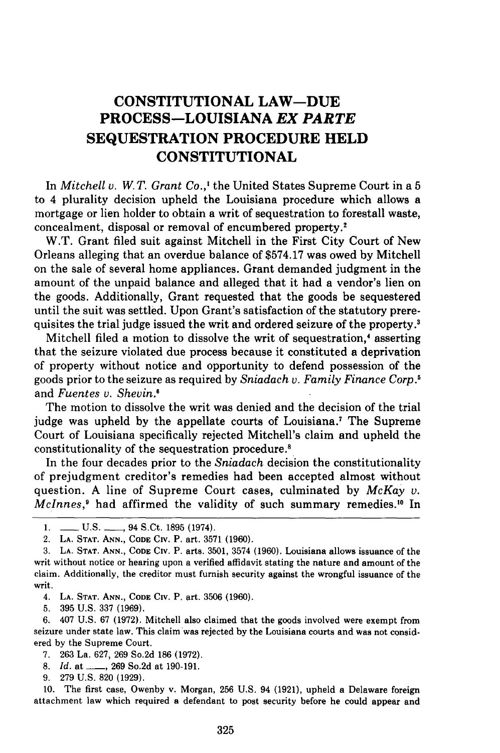## **CONSTITUTIONAL LAW-DUE PROCESS-LOUISIANA** *EX PARTE* **SEQUESTRATION PROCEDURE HELD CONSTITUTIONAL**

In *Mitchell v. W. T. Grant Co.,'* the United States Supreme Court in a 5 to 4 plurality decision upheld the Louisiana procedure which allows a mortgage or lien holder to obtain a writ of sequestration to forestall waste, concealment, disposal or removal of encumbered property

W.T. Grant filed suit against Mitchell in the First City Court of New Orleans alleging that an overdue balance of \$574.17 was owed by Mitchell on the sale of several home appliances. Grant demanded judgment in the amount of the unpaid balance and alleged that it had a vendor's lien on the goods. Additionally, Grant requested that the goods be sequestered until the suit was settled. Upon Grant's satisfaction of the statutory prerequisites the trial judge issued the writ and ordered seizure of the property.<sup>3</sup>

Mitchell filed a motion to dissolve the writ of sequestration,' asserting that the seizure violated due process because it constituted a deprivation of property without notice and opportunity to defend possession of the goods prior to the seizure as required by *Sniadach v. Family Finance Corp.'* and *Fuentes v. Shevin*.<sup>6</sup>

The motion to dissolve the writ was denied and the decision of the trial judge was upheld by the appellate courts of Louisiana.<sup>7</sup> The Supreme Court of Louisiana specifically rejected Mitchell's claim and upheld the constitutionality of the sequestration procedure.'

In the four decades prior to the *Sniadach* decision the constitutionality of prejudgment creditor's remedies had been accepted almost without question. A line of Supreme Court cases, culminated by *McKay v. McInnes,9* had affirmed the validity of such summary remedies.'0 In

4. **LA. STAT. ANN., CODE** Civ. P. art. 3506 (1960).

5. 395 U.S. 337 (1969).

6. 407 U.S. 67 (1972). Mitchell also claimed that the goods involved were exempt from seizure under state law. This claim was rejected by the Louisiana courts and was not considered by the Supreme Court.

- 7. 263 La. 627, 269 So.2d 186 (1972).
- 8. *Id.* at <u>-, 269</u> So.2d at 190-191.
- 9. 279 U.S. 820 (1929).

10. The first case, Owenby v. Morgan, 256 U.S. 94 (1921), upheld a Delaware foreign attachment law which required a defendant to post security before he could appear and

<sup>1.</sup> **-** U.S. **-** 94 S.Ct. 1895 (1974).

<sup>2.</sup> **LA. STAT. ANN., CODE CIv.** P. art. 3571 **(1960).**

**<sup>3.</sup> LA. STAT. ANN., CODE CIv.** P. arts. **3501, 3574 (1960).** Louisiana allows issuance of the writ without notice or hearing upon a verified affidavit stating the nature and amount of the claim. Additionally, the creditor must furnish security against the wrongful issuance of the writ.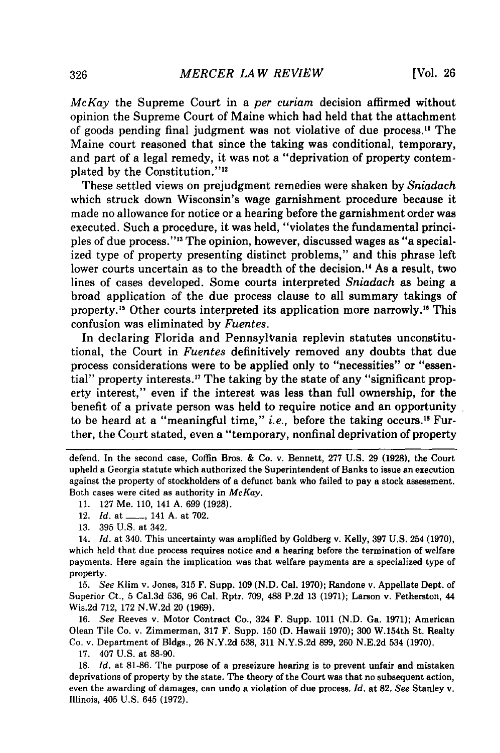*McKay* the Supreme Court in a *per curiam* decision affirmed without opinion the Supreme Court of Maine which had held that the attachment of goods pending final judgment was not violative of due process." The Maine court reasoned that since the taking was conditional, temporary, and part of a legal remedy, it was not a "deprivation of property contemplated by the Constitution."<sup>12</sup>

These settled views on prejudgment remedies were shaken by *Sniadach* which struck down Wisconsin's wage garnishment procedure because it made no allowance for notice or a hearing before the garnishment order was executed. Such a procedure, it was held, "violates the fundamental principles of due process."'" The opinion, however, discussed wages as "a specialized type of property presenting distinct problems," and this phrase left lower courts uncertain as to the breadth of the decision.<sup>14</sup> As a result, two lines of cases developed. Some courts interpreted *Sniadach* as being a broad application of the due process clause to all summary takings of property. 5 Other courts interpreted its application more narrowly." This confusion was eliminated by *Fuentes.*

In declaring Florida and PennsylVania replevin statutes unconstitutional, the Court in *Fuentes* definitively removed any doubts that due process considerations were to be applied only to "necessities" or "essential" property interests.<sup>17</sup> The taking by the state of any "significant property interest," even if the interest was less than full ownership, for the benefit of a private person was held to require notice and an opportunity to be heard at a "meaningful time," *i.e.,* before the taking occurs. 8 Further, the Court stated, even a "temporary, nonfinal deprivation of property

defend. In the second case, Coffin Bros. & Co. v. Bennett, 277 **U.S. 29 (1928),** the Court upheld a Georgia statute which authorized the Superintendent of Banks to issue an execution against the property of stockholders of a defunct bank who failed to pay a stock assessment. Both cases were cited as authority in *McKay.*

12. *Id.* at **- ,** 141 **A.** at **702.**

**15.** *See* Klim v. Jones, **315** F. Supp. **109 (N.D.** Cal. **1970);** Randone v. Appellate Dept. of Superior Ct., **5** Cal.3d **536, 96** Cal. Rptr. **709, 488 P.2d 13 (1971);** Larson v. Fetherston, 44 Wis.2d **712, 172 N.W.2d** 20 **(1969).**

**16.** *See* Reeves v. Motor Contract Co., 324 F. Supp. **1011 (N.D.** Ga. **1971);** American Olean Tile Co. v. Zimmerman, **317** F. Supp. **150 (D.** Hawaii **1970); 300** W.154th St. Realty Co. v. Department of Bldgs., **26 N.Y.2d 538, 311 N.Y.S.2d 899, 260 N.E.2d** 534 **(1970).**

**17.** 407 **U.S.** at **88-90.**

**18.** *Id.* at **81-86.** The purpose of a preseizure hearing is to prevent unfair and mistaken deprivations of property **by** the state. The theory of the Court was that no subsequent action, even the awarding of damages, can undo a violation of due process. *Id.* at **82.** *See* Stanley v. Illinois, 405 **U.S.** 645 **(1972).**

**<sup>11. 127</sup>** Me. **110,** 141 **A. 699 (1928).**

**<sup>13. 395</sup> U.S.** at 342.

<sup>14.</sup> *Id.* at 340. This uncertainty was amplified **by** Goldberg v. Kelly, **397 U.S.** 254 **(1970),** which held that due process requires notice and a hearing before the termination of welfare payments. Here again the implication was that welfare payments are a specialized type of property.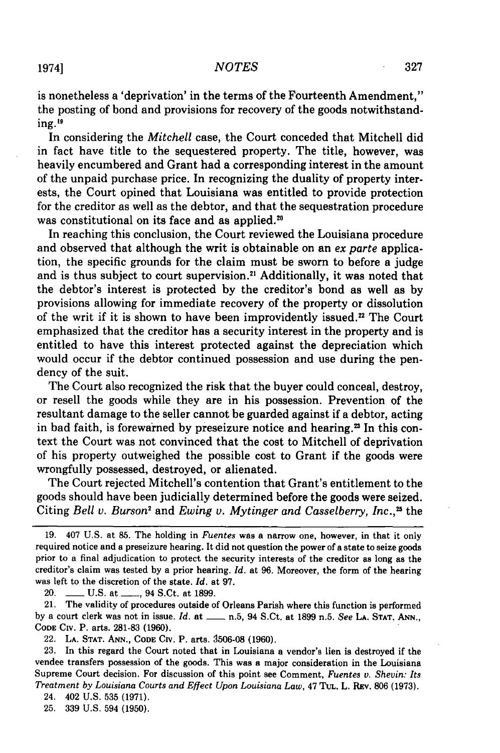is nonetheless a 'deprivation' in the terms of the Fourteenth Amendment," the posting of bond and provisions for recovery of the goods notwithstanding.<sup>19</sup>

In considering the *Mitchell* case, the Court conceded that Mitchell did in fact have title to the sequestered property. The title, however, was heavily encumbered and Grant had a corresponding interest in the amount of the unpaid purchase price. In recognizing the duality of property interests, the Court opined that Louisiana was entitled to provide protection for the creditor as well as the debtor, and that the sequestration procedure was constitutional on its face and as applied.<sup>20</sup>

In reaching this conclusion, the Court reviewed the Louisiana procedure and observed that although the writ is obtainable on an *ex parte* application, the specific grounds for the claim must be sworn to before a judge and is thus subject to court supervision.<sup>21</sup> Additionally, it was noted that the debtor's interest is protected by the creditor's bond as well as by provisions allowing for immediate recovery of the property or dissolution of the writ if it is shown to have been improvidently issued." The Court emphasized that the creditor has a security interest in the property and is entitled to have this interest protected against the depreciation which would occur if the debtor continued possession and use during the pendency of the suit.

The Court also recognized the risk that the buyer could conceal, destroy, or resell the goods while they are in his possession. Prevention of the resultant damage to the seller cannot be guarded against if a debtor, acting in bad faith, is forewarned by preseizure notice and hearing.<sup>23</sup> In this context the Court was not convinced that the cost to Mitchell of deprivation of his property outweighed the possible cost to Grant if the goods were wrongfully possessed, destroyed, or alienated.

The Court rejected Mitchell's contention that Grant's entitlement to the goods should have been judicially determined before the goods were seized. Citing *Bell v. Burson'* and *Ewing v. Mytinger and Casselberry, Inc., <sup>25</sup>*the

20. **\_\_\_ U.S. at \_\_\_, 94 S.Ct. at 1899.** 

21. The validity of procedures outside of Orleans Parish where this function is performed by a court clerk was not in issue. *Id.* at **-** n.5, 94 S.Ct. at 1899 n.5. *See* **LA. STAT. ANN., CODE** CiV. P. arts. 281-83 (1960).

22. **LA. STAT. ANN., CODE CIv.** P. arts. **9506-08 (1960).**

23. In this regard the Court noted that in Louisiana a vendor's lien is destroyed if the vendee transfers possession of the goods. This was a major consideration in the Louisiana Supreme Court decision. For discussion of this point see Comment, *Fuentes v. Shevin: Its Treatment by Louisiana Courts and Effect Upon Louisiana Law,* 47 **TUL.** L. REv. 806 (1973).

24. 402 U.S. 535 (1971).

25. 339 U.S. 594 (1950).

<sup>19. 407</sup> U.S. at 85. The holding in *Fuentes* was a narrow one, however, in that it only required notice and a preseizure hearing. It did not question the power of a state to seize goods prior to a final adjudication to protect the security interests of the creditor as long as the creditor's claim was tested by a prior hearing. *Id.* at 96. Moreover, the form of the hearing was left to the discretion of the state. *Id.* at 97.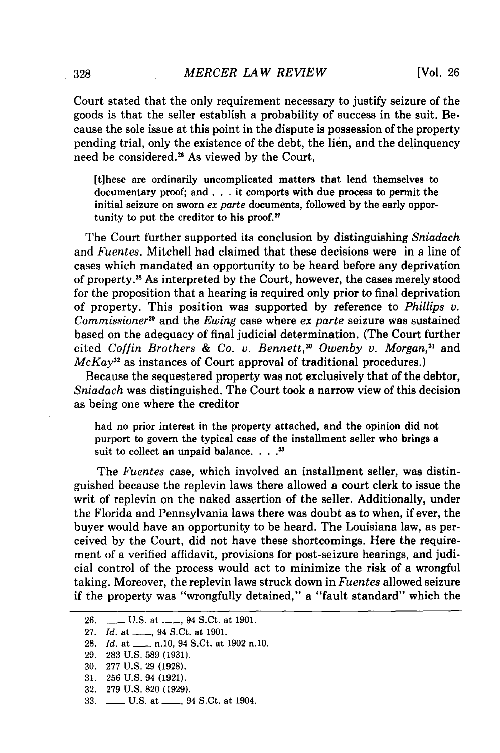Court stated that the only requirement necessary to justify seizure of the goods is that the seller establish a probability of success in the suit. Because the sole issue at this point in the dispute is possession of the property pending trial, only the existence of the debt, the lien, and the delinquency need be considered.<sup>26</sup> As viewed by the Court,

[t]hese are ordinarily uncomplicated matters that lend themselves to documentary proof; and. **. .** it comports with due process to permit the initial seizure on sworn *ex parte* documents, followed by the early opportunity to put the creditor to his proof.<sup>27</sup>

The Court further supported its conclusion by distinguishing *Sniadach* and *Fuentes.* Mitchell had claimed that these decisions were in a line of cases which mandated an opportunity to be heard before any deprivation of property.2s As interpreted by the Court, however, the cases merely stood for the proposition that a hearing is required only prior to final deprivation of property. This position was supported by reference to *Phillips v. Commissioner29* and the *Ewing* case where *ex parte* seizure was sustained based on the adequacy of final judicial determination. (The Court further cited *Coffin Brothers & Co. v. Bennett*,<sup>30</sup> Owenby v. Morgan,<sup>31</sup> and *McKay*<sup>32</sup> as instances of Court approval of traditional procedures.)

Because the sequestered property was not exclusively that of the debtor, *Sniadach* was distinguished. The Court took a narrow view of this decision as being one where the creditor

had no prior interest in the property attached, and the opinion did not purport to govern the typical case of the installment seller who brings a suit to collect an unpaid balance. . **..**

The *Fuentes* case, which involved an installment seller, was distinguished because the replevin laws there allowed a court clerk to issue the writ of replevin on the naked assertion of the seller. Additionally, under the Florida and Pennsylvania laws there was doubt as to when, if ever, the buyer would have an opportunity to be heard. The Louisiana law, as perceived by the Court, did not have these shortcomings. Here the requirement of a verified affidavit, provisions for post-seizure hearings, and judicial control of the process would act to minimize the risk of a wrongful taking. Moreover, the replevin laws struck down in *Fuentes* allowed seizure if the property was "wrongfully detained," a "fault standard" which the

- 30. 277 U.S. 29 (1928).
- 31. 256 U.S. 94 (1921).
- 32. 279 U.S. 820 **(1929).**
- 33. **\_\_\_ U.S. at \_\_\_, 94 S.Ct. at 1904.**

<sup>26.</sup> **- U.S. at - 94 S.Ct. at 1901.** 

<sup>27.</sup> *Id.* at \_\_\_, 94 S.Ct. at 1901.

<sup>28.</sup> *Id.* at \_\_\_\_\_ n.10, 94 S.Ct. at 1902 n.10.

<sup>29. 283</sup> U.S. 589 (1931).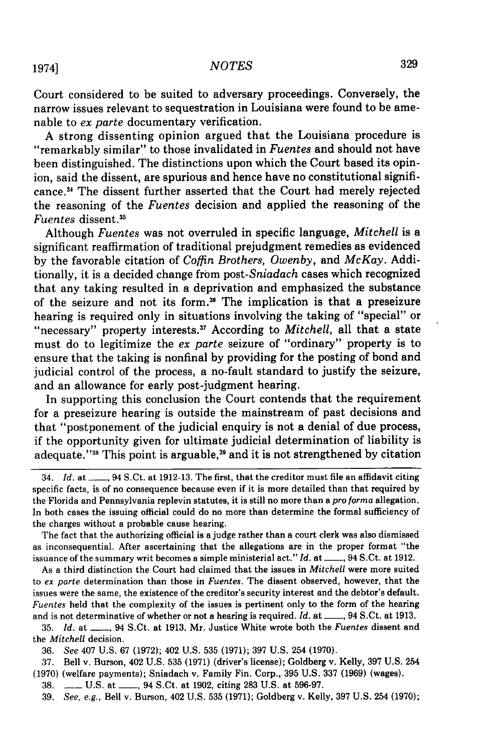Court considered to be suited to adversary proceedings. Conversely, the narrow issues relevant to sequestration in Louisiana were found to be amenable to *ex parte* documentary verification.

**<sup>A</sup>**strong dissenting opinion argued that the Louisiana procedure is "remarkably similar" to those invalidated in *Fuentes* and should not have been distinguished. The distinctions upon which the Court based its opinion, said the dissent, are spurious and hence have no constitutional significance. 4 The dissent further asserted that the Court had merely rejected the reasoning of the *Fuentes* decision and applied the reasoning of the *Fuentes* dissent.<sup>35</sup>

Although *Fuentes* was not overruled in specific language, *Mitchell* is a significant reaffirmation of traditional prejudgment remedies as evidenced **by** the favorable citation of *Coffin Brothers, Owenby,* and *McKay.* Additionally, it is a decided change from *post-Sniadach* cases which recognized that any taking resulted in a deprivation and emphasized the substance of the seizure and not its form.36 The implication is that a preseizure hearing is required only in situations involving the taking of "special" or "necessary" property interests.37 According to *Mitchell,* all that a state must do to legitimize the *ex parte* seizure of "ordinary" property is to ensure that the taking is nonfinal **by** providing for the posting of bond and judicial control of the process, a no-fault standard to justify the seizure, and an allowance for early post-judgment hearing.

In supporting this conclusion the Court contends that the requirement for a preseizure hearing is outside the mainstream of past decisions and that "postponement of the judicial enquiry is not a denial of due process, if the opportunity given for ultimate judicial determination of liability is adequate. '38 This point is arguable, 39 and it is not strengthened **by** citation

As a third distinction the Court had claimed that the issues in *Mitchell* were more suited to *ex parte* determination than those in *Fuentes.* The dissent observed, however, that the issues were the same, the existence of the creditor's security interest and the debtor's default. *Fuentes* held that the complexity of the issues is pertinent only to the form of the hearing and is not determinative of whether or not a hearing is required. *Id.* at \_\_\_, 94 S.Ct. at 1913.

**35.** *Id.* at **\_\_,** 94 S.Ct. at **1913.** Mr. Justice White wrote both the *Fuentes* dissent and the *Mitchell* decision.

**36.** *See* 407 **U.S. 67 (1972);** 402 **U.S. 535 (1971); 397 U.S.** 254 **(1970).**

**37.** Bell v. Burson, 402 **U.S. 535 (1971)** (driver's license); Goldberg v. Kelly, **397 U.S.** 254 **(1970)** (welfare payments); Sniadach v. Family Fin. Corp., **395 U.S. 337 (1969)** (wages).

**38. \_\_ U.S.** at **\_\_,** 94 S.Ct. at **1902,** citing **283 U.S.** at **596-97.**

**39.** *See, e.g.,* Bell v. Burson, 402 **U.S. 535 (1971);** Goldberg v. Kelly, **397 U.S.** 254 **(1970);**

<sup>34.</sup> *Id.* at **\_\_,** 94 S.Ct. at **1912-13.** The first, that the creditor must file an affidavit citing specific facts, is of no consequence because even if it is more detailed than that required **by** the Florida and Pennsylvania replevin statutes, it is still no more than a *pro forina* allegation. In both cases the issuing official could do no more than determine the formal sufficiency of the charges without a probable cause hearing.

The fact that the authorizing official is a judge rather than a court clerk was also dismissed as inconsequential. After ascertaining that the allegations are in the proper format "the issuance of the summary writ becomes a simple ministerial act." *Id.* at \_\_, 94 S.Ct. at 1912.